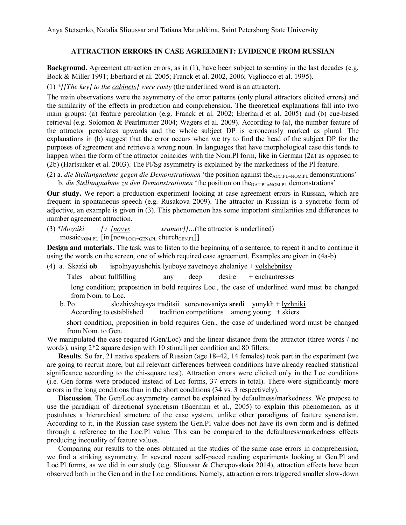Anya Stetsenko, Natalia Slioussar and Tatiana Matushkina, Saint Petersburg State University

## **ATTRACTION ERRORS IN CASE AGREEMENT: EVIDENCE FROM RUSSIAN**

**Background.** Agreement attraction errors, as in (1), have been subject to scrutiny in the last decades (e.g. Bock & Miller 1991; Eberhard et al. 2005; Franck et al. 2002, 2006; Vigliocco et al. 1995).

(1) *\*[[The key] to the cabinets] were rusty* (the underlined word is an attractor).

The main observations were the asymmetry of the error patterns (only plural attractors elicited errors) and the similarity of the effects in production and comprehension. The theoretical explanations fall into two main groups: (a) feature percolation (e.g. Franck et al. 2002; Eberhard et al. 2005) and (b) cue-based retrieval (e.g. Solomon & Pearlmutter 2004; Wagers et al. 2009). According to (a), the number feature of the attractor percolates upwards and the whole subject DP is erroneously marked as plural. The explanations in (b) suggest that the error occurs when we try to find the head of the subject DP for the purposes of agreement and retrieve a wrong noun. In languages that have morphological case this tends to happen when the form of the attractor coincides with the Nom.Pl form, like in German (2a) as opposed to (2b) (Hartsuiker et al. 2003). The Pl/Sg asymmetry is explained by the markedness of the Pl feature.

(2) a. *die Stellungnahme gegen die Demonstrationen* 'the position against the<sub>ACC.PL=NOM.PL</sub> demonstrations' b. *die Stellungnahme zu den Demonstrationen* 'the position on the<sub>DAT PL≠NOM PL</sub> demonstrations'

**Our study.** We report a production experiment looking at case agreement errors in Russian, which are frequent in spontaneous speech (e.g. Rusakova 2009). The attractor in Russian is a syncretic form of adjective, an example is given in (3). This phenomenon has some important similarities and differences to number agreement attraction.

(3) \**Mozaiki [v [novyx xramov]]…*(the attractor is underlined)  $\overline{\text{mosaic}_{\text{NOM.PL}}}$  [in  $\overline{\text{new}_{\text{LOC}(\text{=GEN).PL}}}$  church $\overline{\text{GEN.PL}}$ ]]

**Design and materials.** The task was to listen to the beginning of a sentence, to repeat it and to continue it using the words on the screen, one of which required case agreement. Examples are given in (4a-b).

(4) a. Skazki **ob** ispolnyayushchiх lyuboye zavetnoye zhelaniye + volshebnitsy

Tales about fullfilling any deep desire + enchantresses

long condition; preposition in bold requires Loc., the case of underlined word must be changed from Nom. to Loc.

 b. Po slozhivsheysya traditsii sorevnovaniya **sredi** yunykh + lyzhniki According to established tradition competitions among young  $+$  skiers

short condition, preposition in bold requires Gen., the case of underlined word must be changed from Nom. to Gen.

We manipulated the case required (Gen/Loc) and the linear distance from the attractor (three words / no words), using 2\*2 square design with 10 stimuli per condition and 80 fillers.

**Results**. So far, 21 native speakers of Russian (age 18–42, 14 females) took part in the experiment (we are going to recruit more, but all relevant differences between conditions have already reached statistical significance according to the chi-square test). Attraction errors were elicited only in the Loc conditions (i.e. Gen forms were produced instead of Loc forms, 37 errors in total). There were significantly more errors in the long conditions than in the short conditions (34 vs. 3 respectively).

**Discussion**. The Gen/Loc asymmetry cannot be explained by defaultness/markedness. We propose to use the paradigm of directional syncretism (Baerman et al., 2005) to explain this phenomenon, as it postulates a hierarchical structure of the case system, unlike other paradigms of feature syncretism. According to it, in the Russian case system the Gen.Pl value does not have its own form and is defined through a reference to the Loc.Pl value. This can be compared to the defaultness/markedness effects producing inequality of feature values.

Comparing our results to the ones obtained in the studies of the same case errors in comprehension, we find a striking asymmetry. In several recent self-paced reading experiments looking at Gen.Pl and Loc.Pl forms, as we did in our study (e.g. Slioussar & Cherepovskaia 2014), attraction effects have been observed both in the Gen and in the Loc conditions. Namely, attraction errors triggered smaller slow-down